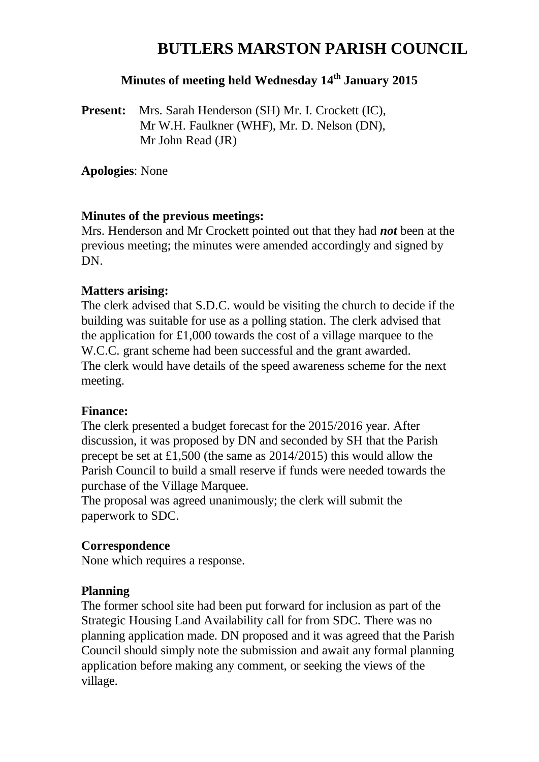# **BUTLERS MARSTON PARISH COUNCIL**

# **Minutes of meeting held Wednesday 14 th January 2015**

**Present:** Mrs. Sarah Henderson (SH) Mr. I. Crockett (IC), Mr W.H. Faulkner (WHF), Mr. D. Nelson (DN), Mr John Read (JR)

**Apologies**: None

## **Minutes of the previous meetings:**

Mrs. Henderson and Mr Crockett pointed out that they had *not* been at the previous meeting; the minutes were amended accordingly and signed by D<sub>N</sub>

## **Matters arising:**

The clerk advised that S.D.C. would be visiting the church to decide if the building was suitable for use as a polling station. The clerk advised that the application for £1,000 towards the cost of a village marquee to the W.C.C. grant scheme had been successful and the grant awarded. The clerk would have details of the speed awareness scheme for the next meeting.

#### **Finance:**

The clerk presented a budget forecast for the 2015/2016 year. After discussion, it was proposed by DN and seconded by SH that the Parish precept be set at £1,500 (the same as 2014/2015) this would allow the Parish Council to build a small reserve if funds were needed towards the purchase of the Village Marquee.

The proposal was agreed unanimously; the clerk will submit the paperwork to SDC.

## **Correspondence**

None which requires a response.

## **Planning**

The former school site had been put forward for inclusion as part of the Strategic Housing Land Availability call for from SDC. There was no planning application made. DN proposed and it was agreed that the Parish Council should simply note the submission and await any formal planning application before making any comment, or seeking the views of the village.